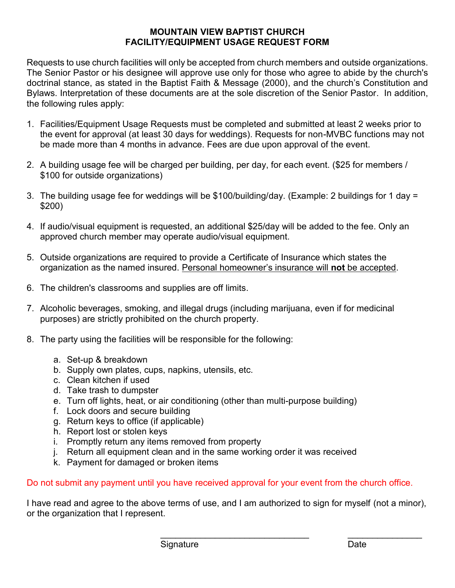## **MOUNTAIN VIEW BAPTIST CHURCH FACILITY/EQUIPMENT USAGE REQUEST FORM**

Requests to use church facilities will only be accepted from church members and outside organizations. The Senior Pastor or his designee will approve use only for those who agree to abide by the church's doctrinal stance, as stated in the Baptist Faith & Message (2000), and the church's Constitution and Bylaws. Interpretation of these documents are at the sole discretion of the Senior Pastor. In addition, the following rules apply:

- 1. Facilities/Equipment Usage Requests must be completed and submitted at least 2 weeks prior to the event for approval (at least 30 days for weddings). Requests for non-MVBC functions may not be made more than 4 months in advance. Fees are due upon approval of the event.
- 2. A building usage fee will be charged per building, per day, for each event. (\$25 for members / \$100 for outside organizations)
- 3. The building usage fee for weddings will be \$100/building/day. (Example: 2 buildings for 1 day = \$200)
- 4. If audio/visual equipment is requested, an additional \$25/day will be added to the fee. Only an approved church member may operate audio/visual equipment.
- 5. Outside organizations are required to provide a Certificate of Insurance which states the organization as the named insured. Personal homeowner's insurance will **not** be accepted.
- 6. The children's classrooms and supplies are off limits.
- 7. Alcoholic beverages, smoking, and illegal drugs (including marijuana, even if for medicinal purposes) are strictly prohibited on the church property.
- 8. The party using the facilities will be responsible for the following:
	- a. Set-up & breakdown
	- b. Supply own plates, cups, napkins, utensils, etc.
	- c. Clean kitchen if used
	- d. Take trash to dumpster
	- e. Turn off lights, heat, or air conditioning (other than multi-purpose building)
	- f. Lock doors and secure building
	- g. Return keys to office (if applicable)
	- h. Report lost or stolen keys
	- i. Promptly return any items removed from property
	- j. Return all equipment clean and in the same working order it was received
	- k. Payment for damaged or broken items

Do not submit any payment until you have received approval for your event from the church office.

I have read and agree to the above terms of use, and I am authorized to sign for myself (not a minor), or the organization that I represent.

 $\mathcal{L}_\text{max} = \frac{1}{2} \sum_{i=1}^{n} \frac{1}{2} \sum_{i=1}^{n} \frac{1}{2} \sum_{i=1}^{n} \frac{1}{2} \sum_{i=1}^{n} \frac{1}{2} \sum_{i=1}^{n} \frac{1}{2} \sum_{i=1}^{n} \frac{1}{2} \sum_{i=1}^{n} \frac{1}{2} \sum_{i=1}^{n} \frac{1}{2} \sum_{i=1}^{n} \frac{1}{2} \sum_{i=1}^{n} \frac{1}{2} \sum_{i=1}^{n} \frac{1}{2} \sum_{i=1}^{n} \frac{1$